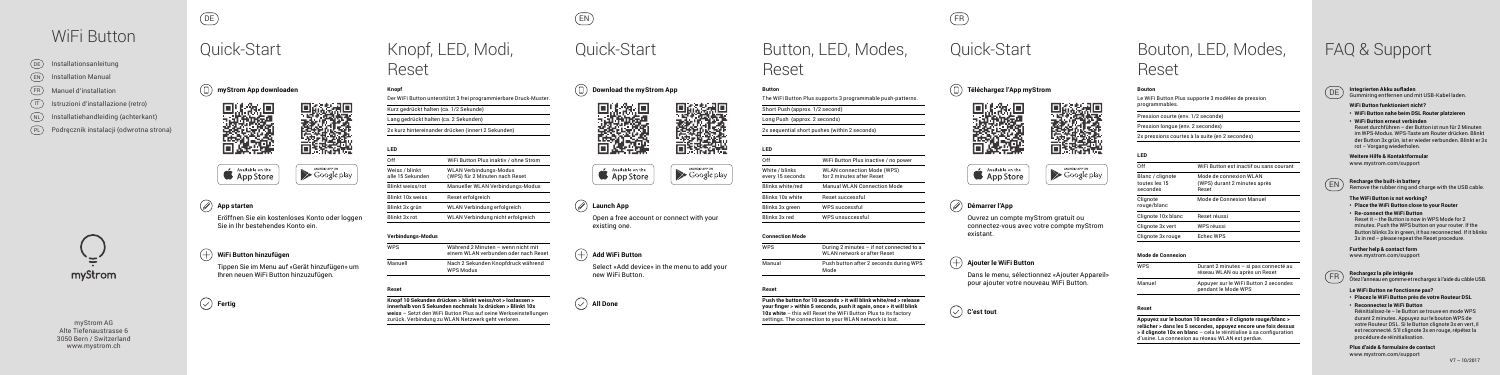myStrom AG Alte Tiefenaustrasse 6 3050 Bern / Switzerland www.mystrom.ch

DE EN FR







### **App starten**

Eröffnen Sie ein kostenloses Konto oder loggen Sie in Ihr bestehendes Konto ein.

## Quick-Start Quick-Start Quick-Start Button, LED, Modes, Knopf, LED, Modi, Reset

### **WiFi Button hinzufügen**

Tippen Sie im Menu auf «Gerät hinzufügen» um Ihren neuen WiFi Button hinzuzufügen.

**Fertig**

Reset

## Bouton, LED, Modes, Reset

## WiFi Button

 $(EN)$  $(T)$ NL FR PL Podręcznik instalacji (odwrotna strona) Installationsanleitung Installation Manual Manuel d'installation Istruzioni d'installazione (retro) Installatiehandleiding (achterkant)  $(DE)$ 

# myStrom

**Téléchargez l'App myStrom**





29 mw

### **Démarrer l'App**

Ouvrez un compte myStrom gratuit ou

connectez-vous avec votre compte myStrom existant.

#### **Ajouter le WiFi Button**

Dans le menu, sélectionnez «Ajouter Appareil» pour ajouter votre nouveau WiFi Button.

**C'est tout**









## **Launch App**

Open a free account or connect with your existing one.

## **Add WiFi Button**

 $\vee$  All Done

Select «Add device» in the menu to add your new WiFi Button.



## FAQ & Support



DE **Integrierten Akku aufladen** Gummiring entfernen und mit USB-Kabel laden.

#### **WiFi Button funktioniert nicht?**

- **• WiFi Button nahe beim DSL Router platzieren**
- **• WiFi Button erneut verbinden**

Reset durchführen – der Button ist nun für 2 Minuten im WPS-Modus. WPS-Taste am Router drücken. Blinkt der Button 3x grün, ist er wieder verbunden. Blinkt er 3x rot – Vorgang wiederholen.

#### **Weitere Hilfe & Kontaktformular**  www.mystrom.com/support

EN **Recharge the built-in battery** Remove the rubber ring and charge with the USB cable.

#### **The WiFi Button is not working?**

- **• Place the WiFi Button close to your Router**
- **• Re-connect the WiFi Button** Reset it – the Button is now in WPS Mode for 2 minutes. Push the WPS button on your router. If the Button blinks 3x in green, it has reconnected. If it blinks 3x in red – please repeat the Reset procedure.

#### **Further help & contact form**

www.mystrom.com/support



 $\overline{\phantom{a}}$ **Reset**

FR **Rechargez la pile intégrée** Ôtez l'anneau en gomme et rechargez à l'aide du câble USB.

#### **Le WiFi Button ne fonctionne pas?**

- **• Placez le WiFi Button près de votre Routeur DSL**
- **• Reconnectez le WiFi Button**

Réinitialisez-le – le Button se trouve en mode WPS durant 2 minutes. Appuyez sur le bouton WPS de votre Routeur DSL. Si le Button clignote 3x en vert, il est reconnecté. S'il clignote 3x en rouge, répétez la procédure de réinitialisation.

**Plus d'aide & formulaire de contact**  www.mystrom.com/support





## App Store

#### **Knopf**

Der WiFi Button unterstützt 3 frei programmierbare Druck-Muster.

Kurz gedrückt halten (ca. 1/2 Sekunde)

Lang gedrückt halten (ca. 2 Sekunden)

2x kurz hintereinander drücken (innert 2 Sekunden)

#### **LED**

| Off                                | WiFi Button Plus inaktiv / ohne Strom                           |
|------------------------------------|-----------------------------------------------------------------|
| Weiss / blinkt<br>alle 15 Sekunden | <b>WLAN Verbindungs-Modus</b><br>(WPS) für 2 Minuten nach Reset |
| <b>Blinkt weiss/rot</b>            | Manueller WLAN Verbindungs-Modus                                |
| <b>Blinkt 10x weiss</b>            | Reset erfolgreich                                               |
| Blinkt 3x grün                     | WLAN Verbindung erfolgreich                                     |
| Blinkt 3x rot                      | WLAN Verbindung nicht erfolgreich                               |
|                                    |                                                                 |

#### **Verbindungs-Modus**

| <b>WPS</b> | Während 2 Minuten – wenn nicht mit<br>einem WLAN verbunden oder nach Reset |
|------------|----------------------------------------------------------------------------|
| Manuell    | Nach 2 Sekunden Knopfdruck während<br><b>WPS Modus</b>                     |

#### **Reset**

**Knopf 10 Sekunden drücken > blinkt weiss/rot > loslassen > innerhalb von 5 Sekunden nochmals 1x drücken > Blinkt 10x weiss** – Setzt den WiFi Button Plus auf seine Werkseinstellungen zurück. Verbindung zu WLAN Netzwerk geht verloren.

**Button**

 $\overline{\phantom{a}}$ White / blink

every 15 sec

Blinks white/ Blinks 10x wh

Blinks 3x green Blinks 3x red

The WiFi Button Plus supports 3 programmable push-patterns.

Short Push (approx. 1/2 second)

Long Push (approx. 2 seconds)

2x sequential short pushes (within 2 seconds)

## **LED**

| Off                                | WiFi Button Plus inactive / no power                           |
|------------------------------------|----------------------------------------------------------------|
| White / blinks<br>every 15 seconds | <b>WLAN</b> connection Mode (WPS)<br>for 2 minutes after Reset |
| Blinks white/red                   | <b>Manual WLAN Connection Mode</b>                             |
| Blinks 10x white                   | Reset successful                                               |
| Blinks 3x green                    | WPS successful                                                 |
| Blinks 3x red                      | WPS unsuccessful                                               |

**Connection Mode**

<u>and the company of the company of the company of the company of the company of the company of the company of the company of the company of the company of the company of the company of the company of the company of the com</u>

**Contract Contract Contract Contract** Manual

| <b>WPS</b> | During 2 minutes - if not connected to a<br>WLAN network or after Reset |
|------------|-------------------------------------------------------------------------|
| Manual     | Push button after 2 seconds during WPS<br>Mode                          |

**Push the button for 10 seconds > it will blink white/red > release your finger > within 5 seconds, push it again, once > it will blink 10x white** – this will Reset the WiFi Button Plus to its factory settings. The connection to your WLAN network is lost.



#### **Bouton**

Le WiFi Button Plus supporte 3 modèles de pression programmables.

Pression courte (env. 1/2 seconde)

Pression longue (env. 2 secondes)

2x pressions courtes à la suite (en 2 secondes)

#### **LED** Off WiFi Button est inactif ou sans courant Blanc / clignote Mode de connexion WLAN<br>toutes les 15 (WPS) durant 2 minutes appro (WPS) durant 2 minutes après<br>Reset secondes Clignote Mode de Connexion Manuel rouge/blanc Clignote 10x blanc Reset réussi Clignote 3x vert WPS réussi Clignote 3x rouge Echec WPS

#### **Mode de Connexion**

WPS Durant 2 minutes – si pas connecté au réseau WLAN ou après un Reset Manuel Appuyer sur le WiFi Button 2 secondes pendant le Mode WPS

#### **Reset**

**Appuyez sur le bouton 10 secondes > il clignote rouge/blanc > relâcher > dans les 5 secondes, appuyez encore une fois dessus > il clignote 10x en blanc** – cela le réinitialise à sa configuration d'usine. La connexion au réseau WLAN est perdue.